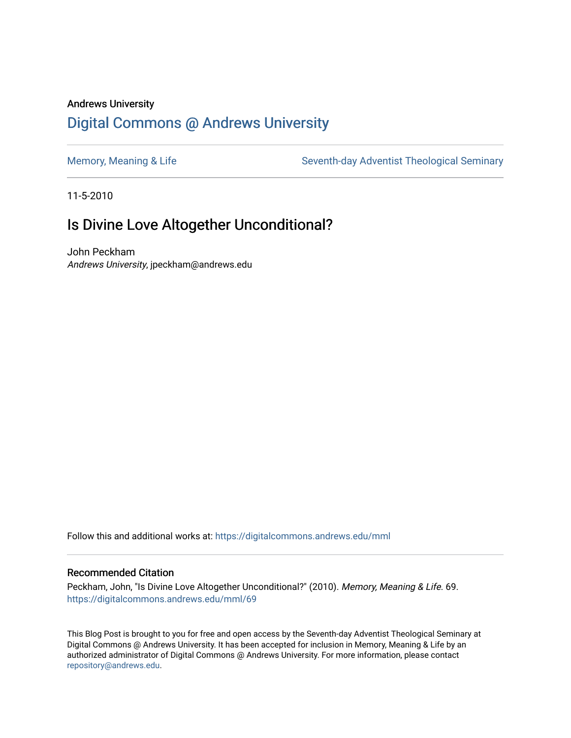## Andrews University [Digital Commons @ Andrews University](https://digitalcommons.andrews.edu/)

[Memory, Meaning & Life](https://digitalcommons.andrews.edu/mml) Seventh-day Adventist Theological Seminary

11-5-2010

## Is Divine Love Altogether Unconditional?

John Peckham Andrews University, jpeckham@andrews.edu

Follow this and additional works at: [https://digitalcommons.andrews.edu/mml](https://digitalcommons.andrews.edu/mml?utm_source=digitalcommons.andrews.edu%2Fmml%2F69&utm_medium=PDF&utm_campaign=PDFCoverPages) 

#### Recommended Citation

Peckham, John, "Is Divine Love Altogether Unconditional?" (2010). Memory, Meaning & Life. 69. [https://digitalcommons.andrews.edu/mml/69](https://digitalcommons.andrews.edu/mml/69?utm_source=digitalcommons.andrews.edu%2Fmml%2F69&utm_medium=PDF&utm_campaign=PDFCoverPages)

This Blog Post is brought to you for free and open access by the Seventh-day Adventist Theological Seminary at Digital Commons @ Andrews University. It has been accepted for inclusion in Memory, Meaning & Life by an authorized administrator of Digital Commons @ Andrews University. For more information, please contact [repository@andrews.edu](mailto:repository@andrews.edu).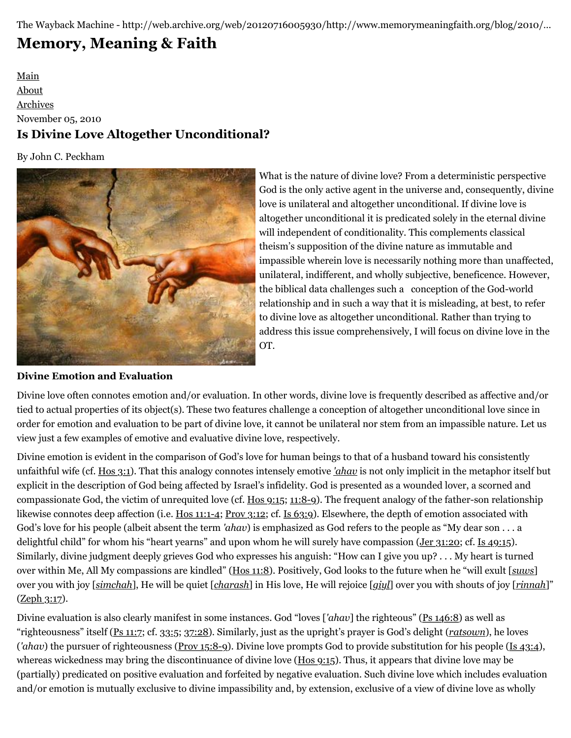The Wayback Machine - http://web.archive.org/web/20120716005930/http://www.memorymeaningfaith.org/blog/2010/…

# **[Memory, Meaning & Faith](http://web.archive.org/web/20120716005930/http://www.memorymeaningfaith.org/blog/)**

### [Main](http://web.archive.org/web/20120716005930/http://www.memorymeaningfaith.org/blog) [About](http://web.archive.org/web/20120716005930/http://www.memorymeaningfaith.org/blog/about.html) [Archives](http://web.archive.org/web/20120716005930/http://www.memorymeaningfaith.org/blog/archives.html) November 05, 2010 **Is Divine Love Altogether Unconditional?**

By John C. Peckham



What is the nature of divine love? From a deterministic perspective God is the only active agent in the universe and, consequently, divine love is unilateral and altogether unconditional. If divine love is altogether unconditional it is predicated solely in the eternal divine will independent of conditionality. This complements classical theism's supposition of the divine nature as immutable and impassible wherein love is necessarily nothing more than unaffected, unilateral, indifferent, and wholly subjective, beneficence. However, the biblical data challenges such a conception of the God-world relationship and in such a way that it is misleading, at best, to refer to divine love as altogether unconditional. Rather than trying to address this issue comprehensively, I will focus on divine love in the OT.

#### **Divine Emotion and Evaluation**

Divine love often connotes emotion and/or evaluation. In other words, divine love is frequently described as affective and/or tied to actual properties of its object(s). These two features challenge a conception of altogether unconditional love since in order for emotion and evaluation to be part of divine love, it cannot be unilateral nor stem from an impassible nature. Let us view just a few examples of emotive and evaluative divine love, respectively.

Divine emotion is evident in the comparison of God's love for human beings to that of a husband toward his consistently unfaithful wife (cf. [Hos 3:1\)](http://web.archive.org/web/20120716005930/http://www.biblestudytools.com/nkj/hosea/3-1.html). That this analogy connotes intensely emotive *['ahav](http://web.archive.org/web/20120716005930/http://www.biblestudytools.com/lexicons/hebrew/nas/ahab.html)* is not only implicit in the metaphor itself but explicit in the description of God being affected by Israel's infidelity. God is presented as a wounded lover, a scorned and compassionate God, the victim of unrequited love (cf. [Hos 9:15](http://web.archive.org/web/20120716005930/http://www.biblestudytools.com/nkj/hosea/9-15.html); [11:8-9](http://web.archive.org/web/20120716005930/http://www.biblestudytools.com/nkj/hosea/passage.aspx?q=hosea+11:8-9)). The frequent analogy of the father-son relationship likewise connotes deep affection (i.e. [Hos 11:1-4;](http://web.archive.org/web/20120716005930/http://www.biblestudytools.com/nkj/hosea/passage.aspx?q=hosea+11:1-4) [Prov 3:12;](http://web.archive.org/web/20120716005930/http://www.biblestudytools.com/nkj/proverbs/3-12.html) cf. [Is 63:9\)](http://web.archive.org/web/20120716005930/http://www.biblestudytools.com/nkj/isaiah/63-9.html). Elsewhere, the depth of emotion associated with God's love for his people (albeit absent the term *'ahav*) is emphasized as God refers to the people as "My dear son . . . a delightful child" for whom his "heart yearns" and upon whom he will surely have compassion [\(Jer 31:20](http://web.archive.org/web/20120716005930/http://www.biblestudytools.com/nkj/jeremiah/31-20.html); cf. [Is 49:15](http://web.archive.org/web/20120716005930/http://www.biblestudytools.com/nkj/isaiah/49-15.html)). Similarly, divine judgment deeply grieves God who expresses his anguish: "How can I give you up? . . . My heart is turned over within Me, All My compassions are kindled" [\(Hos 11:8\)](http://web.archive.org/web/20120716005930/http://www.biblestudytools.com/nkj/hosea/11-8.html). Positively, God looks to the future when he "will exult [*[suws](http://web.archive.org/web/20120716005930/http://www.biblestudytools.com/lexicons/hebrew/nas/suws.html)*] over you with joy [*[simchah](http://web.archive.org/web/20120716005930/http://www.biblestudytools.com/lexicons/hebrew/nas/simchah.html)*], He will be quiet [*[charash](http://web.archive.org/web/20120716005930/http://www.biblestudytools.com/lexicons/hebrew/nas/charash.html)*] in His love, He will rejoice [*[giyl](http://web.archive.org/web/20120716005930/http://www.biblestudytools.com/lexicons/hebrew/nas/giyl.html)*] over you with shouts of joy [*[rinnah](http://web.archive.org/web/20120716005930/http://www.biblestudytools.com/lexicons/hebrew/nas/rinnah.html)*]"  $(Zeph 3:17)$  $(Zeph 3:17)$  $(Zeph 3:17)$ .

Divine evaluation is also clearly manifest in some instances. God "loves [*'ahav*] the righteous" [\(Ps 146:8](http://web.archive.org/web/20120716005930/http://www.biblestudytools.com/nkj/psalms/146-8.html)) as well as "righteousness" itself [\(Ps 11:7](http://web.archive.org/web/20120716005930/http://www.biblestudytools.com/nkj/psalms/11-7.html); cf. [33:5;](http://web.archive.org/web/20120716005930/http://www.biblestudytools.com/nkj/psalms/33-5.html) [37:28\)](http://web.archive.org/web/20120716005930/http://www.biblestudytools.com/nkj/psalms/37-28.html). Similarly, just as the upright's prayer is God's delight (*[ratsown](http://web.archive.org/web/20120716005930/http://www.biblestudytools.com/lexicons/hebrew/nas/ratsown.html)*), he loves (*'ahav*) the pursuer of righteousness ([Prov 15:8-9](http://web.archive.org/web/20120716005930/http://www.biblestudytools.com/nkj/proverbs/passage.aspx?q=proverbs+15:8-9)). Divine love prompts God to provide substitution for his people [\(Is 43:4](http://web.archive.org/web/20120716005930/http://www.biblestudytools.com/nkj/isaiah/43-4.html)), whereas wickedness may bring the discontinuance of divine love [\(Hos 9:15](http://web.archive.org/web/20120716005930/http://www.biblestudytools.com/nkj/hosea/9-15.html)). Thus, it appears that divine love may be (partially) predicated on positive evaluation and forfeited by negative evaluation. Such divine love which includes evaluation and/or emotion is mutually exclusive to divine impassibility and, by extension, exclusive of a view of divine love as wholly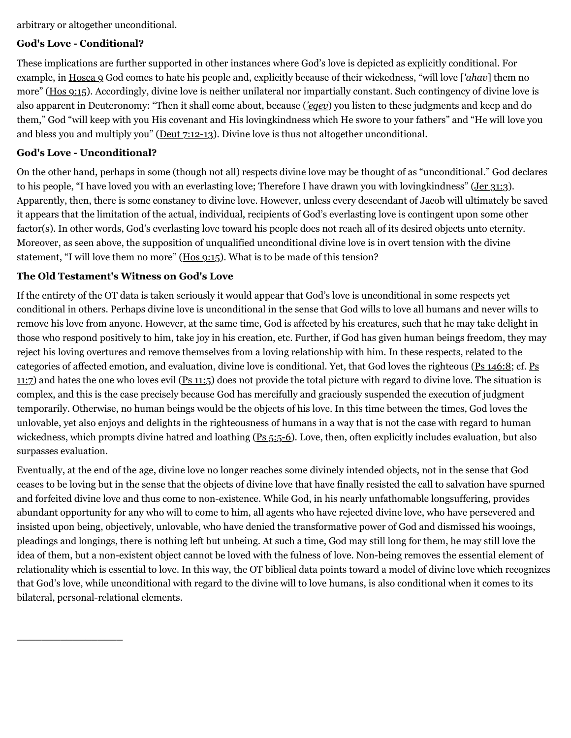arbitrary or altogether unconditional.

#### **God's Love - Conditional?**

These implications are further supported in other instances where God's love is depicted as explicitly conditional. For example, in [Hosea 9](http://web.archive.org/web/20120716005930/http://www.biblestudytools.com/nkj/hosea/9.html) God comes to hate his people and, explicitly because of their wickedness, "will love [*'ahav*] them no more" ([Hos 9:15\)](http://web.archive.org/web/20120716005930/http://www.biblestudytools.com/nkj/hosea/9-15.html). Accordingly, divine love is neither unilateral nor impartially constant. Such contingency of divine love is also apparent in Deuteronomy: "Then it shall come about, because (*['eqev](http://web.archive.org/web/20120716005930/http://www.biblestudytools.com/lexicons/hebrew/nas/eqeb.html)*) you listen to these judgments and keep and do them," God "will keep with you His covenant and His lovingkindness which He swore to your fathers" and "He will love you and bless you and multiply you" ( $Deut$   $7:12-13$ ). Divine love is thus not altogether unconditional.

#### **God's Love - Unconditional?**

\_\_\_\_\_\_\_\_\_\_\_\_\_\_\_\_\_

On the other hand, perhaps in some (though not all) respects divine love may be thought of as "unconditional." God declares to his people, "I have loved you with an everlasting love; Therefore I have drawn you with lovingkindness" ([Jer 31:3](http://web.archive.org/web/20120716005930/http://www.biblestudytools.com/nkj/jeremiah/31-3.html)). Apparently, then, there is some constancy to divine love. However, unless every descendant of Jacob will ultimately be saved it appears that the limitation of the actual, individual, recipients of God's everlasting love is contingent upon some other factor(s). In other words, God's everlasting love toward his people does not reach all of its desired objects unto eternity. Moreover, as seen above, the supposition of unqualified unconditional divine love is in overt tension with the divine statement, "I will love them no more" ([Hos 9:15\)](http://web.archive.org/web/20120716005930/http://www.biblestudytools.com/nkj/hosea/9-15.html). What is to be made of this tension?

#### **The Old Testament's Witness on God's Love**

If the entirety of the OT data is taken seriously it would appear that God's love is unconditional in some respects yet conditional in others. Perhaps divine love is unconditional in the sense that God wills to love all humans and never wills to remove his love from anyone. However, at the same time, God is affected by his creatures, such that he may take delight in those who respond positively to him, take joy in his creation, etc. Further, if God has given human beings freedom, they may reject his loving overtures and remove themselves from a loving relationship with him. In these respects, related to the [categories of affected emotion, and evaluation, divine love is conditional. Yet, that God loves the righteous \(](http://web.archive.org/web/20120716005930/http://www.biblestudytools.com/nkj/psalms/11-7.html)[Ps 146:](http://web.archive.org/web/20120716005930/http://www.biblestudytools.com/nkj/psalms/146-8.html)[8; cf. Ps](http://web.archive.org/web/20120716005930/http://www.biblestudytools.com/nkj/psalms/11-7.html) 11:7) and hates the one who loves evil [\(Ps 11:5](http://web.archive.org/web/20120716005930/http://www.biblestudytools.com/nkj/psalms/11-5.html)) does not provide the total picture with regard to divine love. The situation is complex, and this is the case precisely because God has mercifully and graciously suspended the execution of judgment temporarily. Otherwise, no human beings would be the objects of his love. In this time between the times, God loves the unlovable, yet also enjoys and delights in the righteousness of humans in a way that is not the case with regard to human wickedness, which prompts divine hatred and loathing ([Ps 5:5-6](http://web.archive.org/web/20120716005930/http://www.biblestudytools.com/nkj/psalms/passage.aspx?q=psalms+5:5-6)). Love, then, often explicitly includes evaluation, but also surpasses evaluation.

Eventually, at the end of the age, divine love no longer reaches some divinely intended objects, not in the sense that God ceases to be loving but in the sense that the objects of divine love that have finally resisted the call to salvation have spurned and forfeited divine love and thus come to non-existence. While God, in his nearly unfathomable longsuffering, provides abundant opportunity for any who will to come to him, all agents who have rejected divine love, who have persevered and insisted upon being, objectively, unlovable, who have denied the transformative power of God and dismissed his wooings, pleadings and longings, there is nothing left but unbeing. At such a time, God may still long for them, he may still love the idea of them, but a non-existent object cannot be loved with the fulness of love. Non-being removes the essential element of relationality which is essential to love. In this way, the OT biblical data points toward a model of divine love which recognizes that God's love, while unconditional with regard to the divine will to love humans, is also conditional when it comes to its bilateral, personal-relational elements.